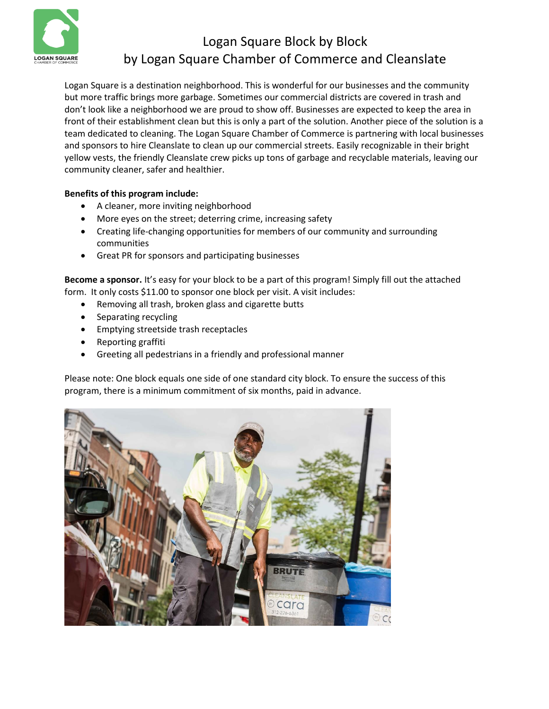

## Logan Square Block by Block by Logan Square Chamber of Commerce and Cleanslate

Logan Square is a destination neighborhood. This is wonderful for our businesses and the community but more traffic brings more garbage. Sometimes our commercial districts are covered in trash and don't look like a neighborhood we are proud to show off. Businesses are expected to keep the area in front of their establishment clean but this is only a part of the solution. Another piece of the solution is a team dedicated to cleaning. The Logan Square Chamber of Commerce is partnering with local businesses and sponsors to hire Cleanslate to clean up our commercial streets. Easily recognizable in their bright yellow vests, the friendly Cleanslate crew picks up tons of garbage and recyclable materials, leaving our community cleaner, safer and healthier.

## **Benefits of this program include:**

- A cleaner, more inviting neighborhood
- More eyes on the street; deterring crime, increasing safety
- Creating life-changing opportunities for members of our community and surrounding communities
- Great PR for sponsors and participating businesses

**Become a sponsor.** It's easy for your block to be a part of this program! Simply fill out the attached form. It only costs \$11.00 to sponsor one block per visit. A visit includes:

- Removing all trash, broken glass and cigarette butts
- Separating recycling
- Emptying streetside trash receptacles
- Reporting graffiti
- Greeting all pedestrians in a friendly and professional manner

Please note: One block equals one side of one standard city block. To ensure the success of this program, there is a minimum commitment of six months, paid in advance.

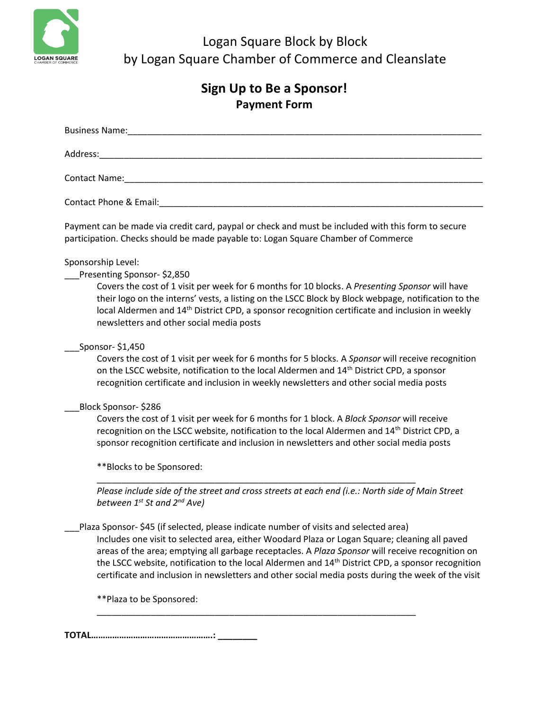

Logan Square Block by Block by Logan Square Chamber of Commerce and Cleanslate

| Sign Up to Be a Sponsor!<br><b>Payment Form</b>                                                                                                                                                                                                                                                                                                                                                                                                                                                                  |
|------------------------------------------------------------------------------------------------------------------------------------------------------------------------------------------------------------------------------------------------------------------------------------------------------------------------------------------------------------------------------------------------------------------------------------------------------------------------------------------------------------------|
|                                                                                                                                                                                                                                                                                                                                                                                                                                                                                                                  |
|                                                                                                                                                                                                                                                                                                                                                                                                                                                                                                                  |
|                                                                                                                                                                                                                                                                                                                                                                                                                                                                                                                  |
|                                                                                                                                                                                                                                                                                                                                                                                                                                                                                                                  |
| Payment can be made via credit card, paypal or check and must be included with this form to secure<br>participation. Checks should be made payable to: Logan Square Chamber of Commerce                                                                                                                                                                                                                                                                                                                          |
| Sponsorship Level:<br>Presenting Sponsor-\$2,850<br>Covers the cost of 1 visit per week for 6 months for 10 blocks. A Presenting Sponsor will have<br>their logo on the interns' vests, a listing on the LSCC Block by Block webpage, notification to the<br>local Aldermen and 14 <sup>th</sup> District CPD, a sponsor recognition certificate and inclusion in weekly<br>newsletters and other social media posts                                                                                             |
| Sponsor- \$1,450<br>Covers the cost of 1 visit per week for 6 months for 5 blocks. A Sponsor will receive recognition<br>on the LSCC website, notification to the local Aldermen and 14 <sup>th</sup> District CPD, a sponsor<br>recognition certificate and inclusion in weekly newsletters and other social media posts                                                                                                                                                                                        |
| Block Sponsor- \$286<br>Covers the cost of 1 visit per week for 6 months for 1 block. A Block Sponsor will receive<br>recognition on the LSCC website, notification to the local Aldermen and 14 <sup>th</sup> District CPD, a<br>sponsor recognition certificate and inclusion in newsletters and other social media posts<br>**Blocks to be Sponsored:                                                                                                                                                         |
| Please include side of the street and cross streets at each end (i.e.: North side of Main Street<br>between 1 <sup>st</sup> St and 2 <sup>nd</sup> Ave)                                                                                                                                                                                                                                                                                                                                                          |
| Plaza Sponsor-\$45 (if selected, please indicate number of visits and selected area)<br>Includes one visit to selected area, either Woodard Plaza or Logan Square; cleaning all paved<br>areas of the area; emptying all garbage receptacles. A Plaza Sponsor will receive recognition on<br>the LSCC website, notification to the local Aldermen and 14 <sup>th</sup> District CPD, a sponsor recognition<br>certificate and inclusion in newsletters and other social media posts during the week of the visit |

\_\_\_\_\_\_\_\_\_\_\_\_\_\_\_\_\_\_\_\_\_\_\_\_\_\_\_\_\_\_\_\_\_\_\_\_\_\_\_\_\_\_\_\_\_\_\_\_\_\_\_\_\_\_\_\_\_\_\_\_\_\_\_\_\_

\*\*Plaza to be Sponsored:

**TOTAL…………………………………………….: \_\_\_\_\_\_\_\_**